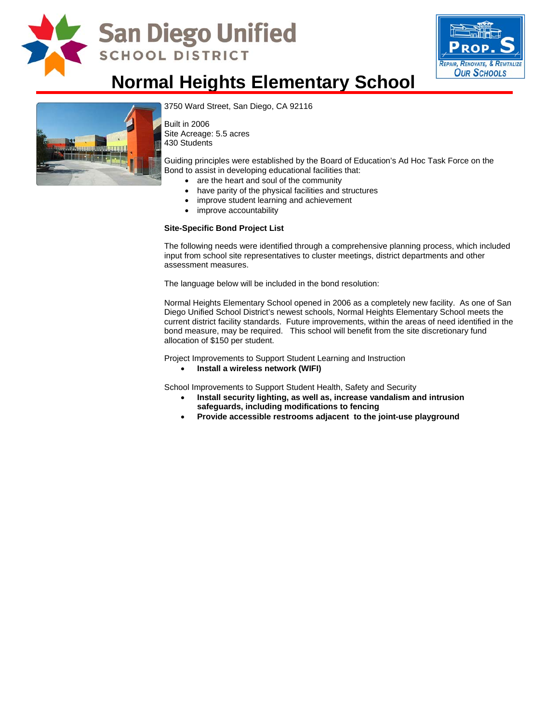

## San Diego Unified **SCHOOL DISTRICT**



## **Normal Heights Elementary School**



[3750 Ward Street, San Diego, CA 9](http://www.sandi.net/comm/schools/schlpix/normalheights.jpg)2116

Built in 2006 Site Acreage: 5.5 acres 430 Students

Guiding principles were established by the Board of Education's Ad Hoc Task Force on the Bond to assist in developing educational facilities that:

- are the heart and soul of the community
- have parity of the physical facilities and structures
- improve student learning and achievement
- improve accountability

#### **Site-Specific Bond Project List**

The following needs were identified through a comprehensive planning process, which included input from school site representatives to cluster meetings, district departments and other assessment measures.

The language below will be included in the bond resolution:

Normal Heights Elementary School opened in 2006 as a completely new facility. As one of San Diego Unified School District's newest schools, Normal Heights Elementary School meets the current district facility standards. Future improvements, within the areas of need identified in the bond measure, may be required. This school will benefit from the site discretionary fund allocation of \$150 per student.

Project Improvements to Support Student Learning and Instruction

• **Install a wireless network (WIFI)** 

School Improvements to Support Student Health, Safety and Security

- **Install security lighting, as well as, increase vandalism and intrusion safeguards, including modifications to fencing**
- **Provide accessible restrooms adjacent to the joint-use playground**